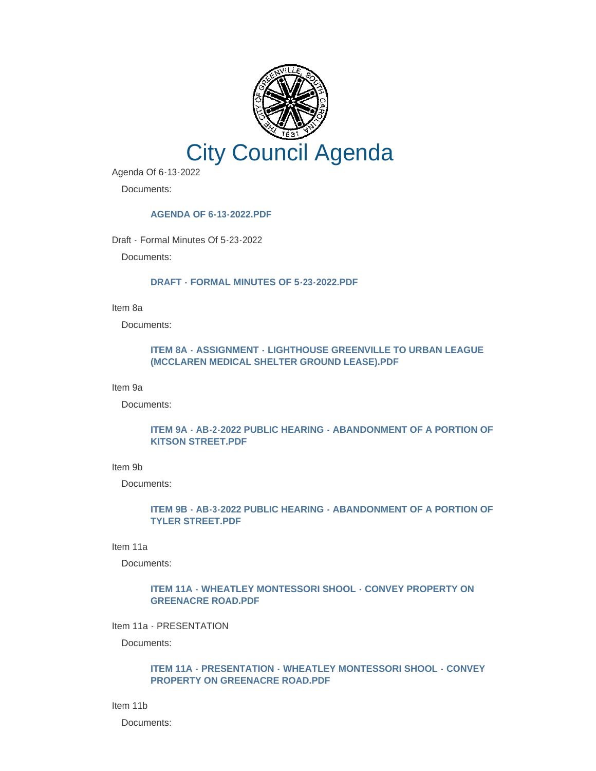

Agenda Of 6-13-2022

Documents:

### **[AGENDA OF 6-13-2022.PDF](https://www.greenvillesc.gov/AgendaCenter/ViewFile/Item/9704?fileID=53259)**

Draft - Formal Minutes Of 5-23-2022

Documents:

#### **[DRAFT - FORMAL MINUTES OF 5-23-2022.PDF](https://www.greenvillesc.gov/AgendaCenter/ViewFile/Item/9681?fileID=53227)**

Item 8a

Documents:

### **[ITEM 8A - ASSIGNMENT - LIGHTHOUSE GREENVILLE TO URBAN LEAGUE](https://www.greenvillesc.gov/AgendaCenter/ViewFile/Item/9710?fileID=53265)  (MCCLAREN MEDICAL SHELTER GROUND LEASE).PDF**

Item 9a

Documents:

### **[ITEM 9A - AB-2-2022 PUBLIC HEARING - ABANDONMENT OF A PORTION OF](https://www.greenvillesc.gov/AgendaCenter/ViewFile/Item/9706?fileID=53261)  KITSON STREET.PDF**

Item 9b

Documents:

# **[ITEM 9B - AB-3-2022 PUBLIC HEARING - ABANDONMENT OF A PORTION OF](https://www.greenvillesc.gov/AgendaCenter/ViewFile/Item/9707?fileID=53262)  TYLER STREET.PDF**

Item 11a

Documents:

# **[ITEM 11A - WHEATLEY MONTESSORI SHOOL - CONVEY PROPERTY ON](https://www.greenvillesc.gov/AgendaCenter/ViewFile/Item/9682?fileID=53229)  GREENACRE ROAD.PDF**

Item 11a - PRESENTATION

Documents:

#### **[ITEM 11A - PRESENTATION - WHEATLEY MONTESSORI SHOOL - CONVEY](https://www.greenvillesc.gov/AgendaCenter/ViewFile/Item/9683?fileID=53231)  PROPERTY ON GREENACRE ROAD.PDF**

Item 11b

Documents: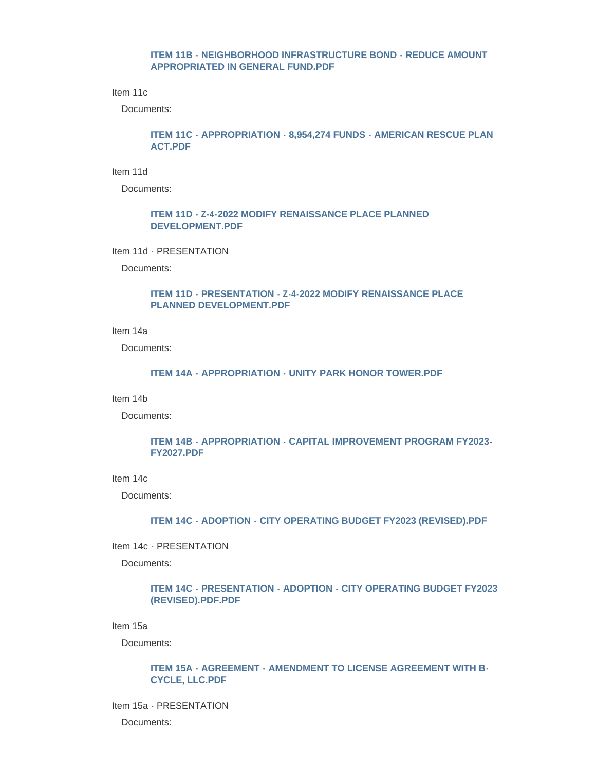#### **[ITEM 11B - NEIGHBORHOOD INFRASTRUCTURE BOND - REDUCE AMOUNT](https://www.greenvillesc.gov/AgendaCenter/ViewFile/Item/9684?fileID=53232)  APPROPRIATED IN GENERAL FUND.PDF**

Item 11c

Documents:

# **[ITEM 11C - APPROPRIATION - 8,954,274 FUNDS - AMERICAN RESCUE PLAN](https://www.greenvillesc.gov/AgendaCenter/ViewFile/Item/9685?fileID=53234)  ACT.PDF**

Item 11d

Documents:

### **[ITEM 11D - Z-4-2022 MODIFY RENAISSANCE PLACE PLANNED](https://www.greenvillesc.gov/AgendaCenter/ViewFile/Item/9686?fileID=53236)  DEVELOPMENT.PDF**

Item 11d - PRESENTATION

Documents:

### **[ITEM 11D - PRESENTATION - Z-4-2022 MODIFY RENAISSANCE PLACE](https://www.greenvillesc.gov/AgendaCenter/ViewFile/Item/9687?fileID=53239)  PLANNED DEVELOPMENT.PDF**

Item 14a

Documents:

#### **[ITEM 14A - APPROPRIATION - UNITY PARK HONOR TOWER.PDF](https://www.greenvillesc.gov/AgendaCenter/ViewFile/Item/9688?fileID=53241)**

Item 14b

Documents:

### **[ITEM 14B - APPROPRIATION - CAPITAL IMPROVEMENT PROGRAM FY2023-](https://www.greenvillesc.gov/AgendaCenter/ViewFile/Item/9689?fileID=53243) FY2027.PDF**

Item 14c

Documents:

#### **[ITEM 14C - ADOPTION - CITY OPERATING BUDGET FY2023 \(REVISED\).PDF](https://www.greenvillesc.gov/AgendaCenter/ViewFile/Item/9690?fileID=53244)**

Item 14c - PRESENTATION

Documents:

### **[ITEM 14C - PRESENTATION - ADOPTION - CITY OPERATING BUDGET FY2023](https://www.greenvillesc.gov/AgendaCenter/ViewFile/Item/9709?fileID=53264)  (REVISED).PDF.PDF**

Item 15a

Documents:

#### **[ITEM 15A - AGREEMENT - AMENDMENT TO LICENSE AGREEMENT WITH B-](https://www.greenvillesc.gov/AgendaCenter/ViewFile/Item/9691?fileID=53247)CYCLE, LLC.PDF**

# Item 15a - PRESENTATION Documents: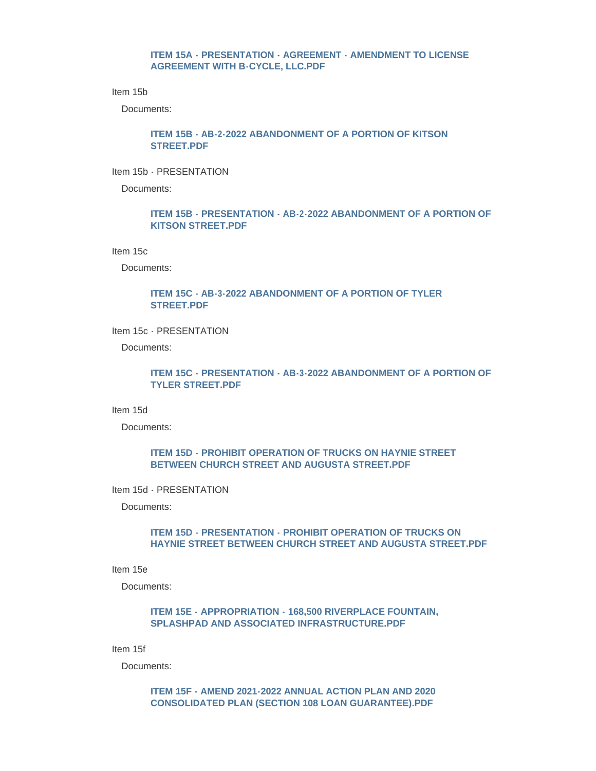### **[ITEM 15A - PRESENTATION - AGREEMENT - AMENDMENT TO LICENSE](https://www.greenvillesc.gov/AgendaCenter/ViewFile/Item/9692?fileID=53248)  AGREEMENT WITH B-CYCLE, LLC.PDF**

Item 15b

Documents:

### **[ITEM 15B - AB-2-2022 ABANDONMENT OF A PORTION OF KITSON](https://www.greenvillesc.gov/AgendaCenter/ViewFile/Item/9693?fileID=53249)  STREET.PDF**

Item 15b - PRESENTATION

Documents:

### **[ITEM 15B - PRESENTATION - AB-2-2022 ABANDONMENT OF A PORTION OF](https://www.greenvillesc.gov/AgendaCenter/ViewFile/Item/9694?fileID=53250)  KITSON STREET.PDF**

Item 15c

Documents:

### **[ITEM 15C - AB-3-2022 ABANDONMENT OF A PORTION OF TYLER](https://www.greenvillesc.gov/AgendaCenter/ViewFile/Item/9695?fileID=53251)  STREET.PDF**

Item 15c - PRESENTATION

Documents:

### **[ITEM 15C - PRESENTATION - AB-3-2022 ABANDONMENT OF A PORTION OF](https://www.greenvillesc.gov/AgendaCenter/ViewFile/Item/9697?fileID=53252)  TYLER STREET.PDF**

Item 15d

Documents:

## **[ITEM 15D - PROHIBIT OPERATION OF TRUCKS ON HAYNIE STREET](https://www.greenvillesc.gov/AgendaCenter/ViewFile/Item/9698?fileID=53253)  BETWEEN CHURCH STREET AND AUGUSTA STREET.PDF**

Item 15d - PRESENTATION

Documents:

### **ITEM 15D - PRESENTATION - PROHIBIT OPERATION OF TRUCKS ON [HAYNIE STREET BETWEEN CHURCH STREET AND AUGUSTA STREET.PDF](https://www.greenvillesc.gov/AgendaCenter/ViewFile/Item/9699?fileID=53254)**

Item 15e

Documents:

# **[ITEM 15E - APPROPRIATION - 168,500 RIVERPLACE FOUNTAIN,](https://www.greenvillesc.gov/AgendaCenter/ViewFile/Item/9700?fileID=53255)  SPLASHPAD AND ASSOCIATED INFRASTRUCTURE.PDF**

Item 15f

Documents:

### **[ITEM 15F - AMEND 2021-2022 ANNUAL ACTION PLAN AND 2020](https://www.greenvillesc.gov/AgendaCenter/ViewFile/Item/9708?fileID=53263)  CONSOLIDATED PLAN (SECTION 108 LOAN GUARANTEE).PDF**